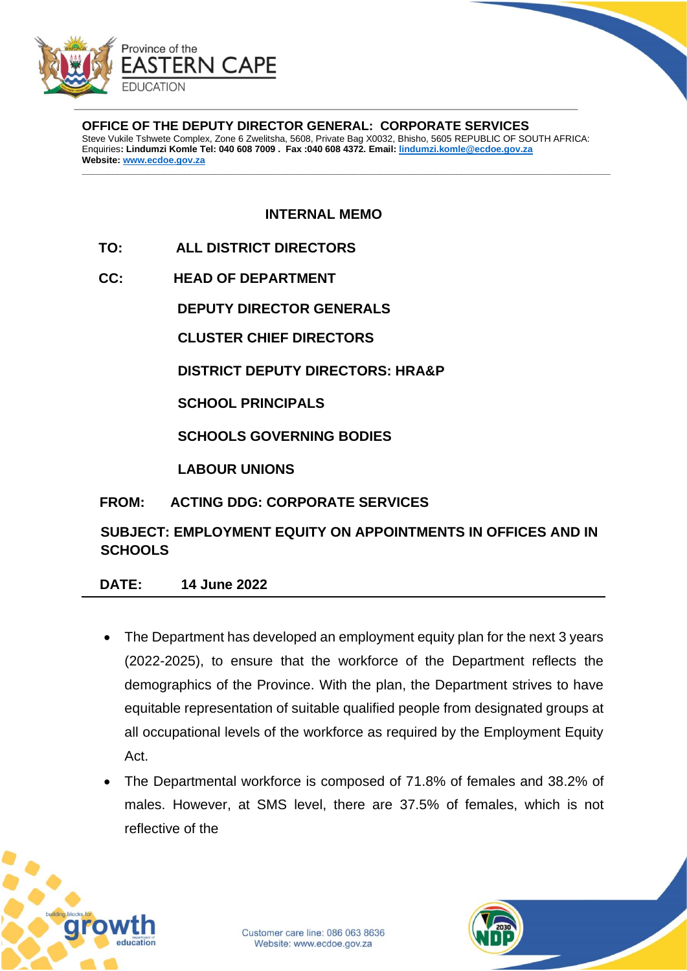

**OFFICE OF THE DEPUTY DIRECTOR GENERAL: CORPORATE SERVICES** Steve Vukile Tshwete Complex, Zone 6 Zwelitsha, 5608, Private Bag X0032, Bhisho, 5605 REPUBLIC OF SOUTH AFRICA: Enquiries**: Lindumzi Komle Tel: 040 608 7009 . Fax :040 608 4372. Email: [lindumzi.komle@ecdoe.gov.za](mailto:lindumzi.komle@ecdoe.gov.za) Website[: www.ecdoe.gov.za](http://www.ecdoe.gov.za/)**

**\_\_\_\_\_\_\_\_\_\_\_\_\_\_\_\_\_\_\_\_\_\_\_\_\_\_\_\_\_\_\_\_\_\_\_\_\_\_\_\_\_\_\_\_\_\_\_\_\_\_\_\_\_\_\_\_\_\_\_\_\_\_\_\_\_\_\_\_\_\_\_\_\_\_\_\_\_\_\_\_\_\_\_\_\_\_\_\_\_\_\_\_\_\_\_\_\_\_\_\_\_\_\_**

**INTERNAL MEMO**

- **TO: ALL DISTRICT DIRECTORS**
- **CC: HEAD OF DEPARTMENT**

**DEPUTY DIRECTOR GENERALS**

**CLUSTER CHIEF DIRECTORS**

**DISTRICT DEPUTY DIRECTORS: HRA&P**

**SCHOOL PRINCIPALS**

**SCHOOLS GOVERNING BODIES**

**LABOUR UNIONS**

## **FROM: ACTING DDG: CORPORATE SERVICES**

**SUBJECT: EMPLOYMENT EQUITY ON APPOINTMENTS IN OFFICES AND IN SCHOOLS**

## **DATE: 14 June 2022**

- The Department has developed an employment equity plan for the next 3 years (2022-2025), to ensure that the workforce of the Department reflects the demographics of the Province. With the plan, the Department strives to have equitable representation of suitable qualified people from designated groups at all occupational levels of the workforce as required by the Employment Equity Act.
- The Departmental workforce is composed of 71.8% of females and 38.2% of males. However, at SMS level, there are 37.5% of females, which is not reflective of the